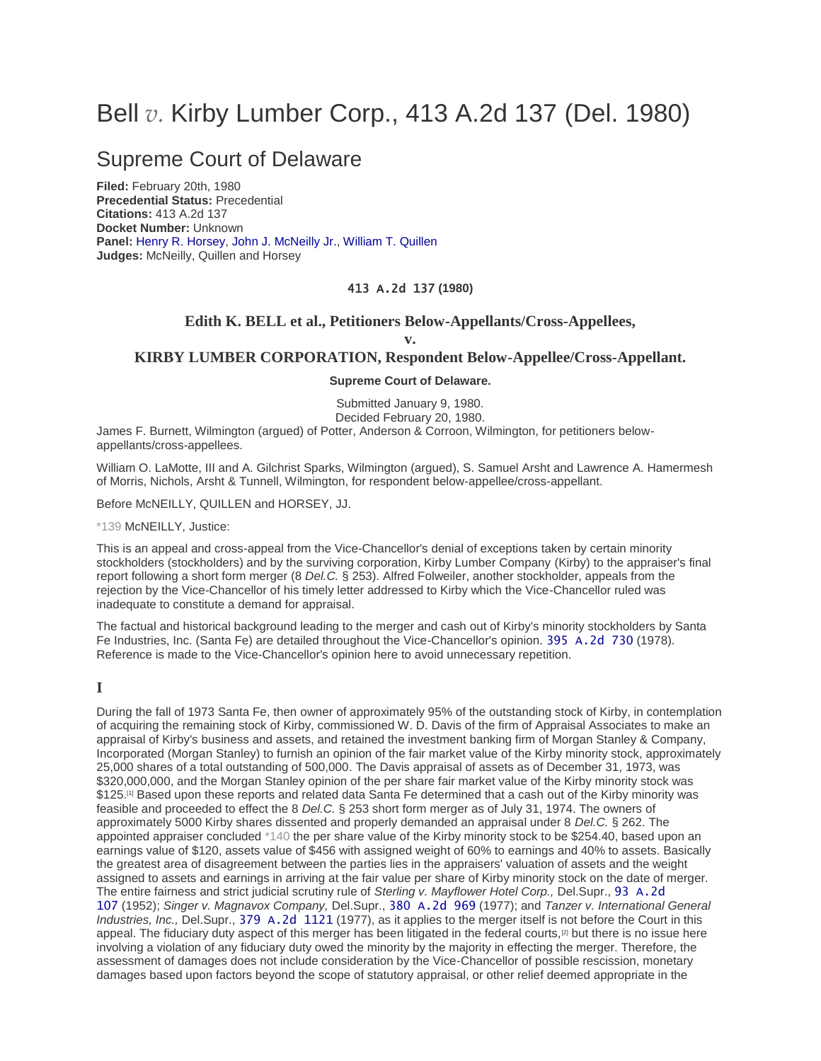# Bell *v.* Kirby Lumber Corp., 413 A.2d 137 (Del. 1980)

# Supreme Court of Delaware

**Filed:** February 20th, 1980 **Precedential Status:** Precedential **Citations:** 413 A.2d 137 **Docket Number:** Unknown **Panel:** [Henry R. Horsey,](https://www.courtlistener.com/person/3998/henry-r-horsey/) [John J. McNeilly Jr.,](https://www.courtlistener.com/person/4000/john-j-mcneilly-jr/) [William T. Quillen](https://www.courtlistener.com/person/4003/william-t-quillen/) **Judges:** McNeilly, Quillen and Horsey

#### 413 A.2d 137 **(1980)**

#### **Edith K. BELL et al., Petitioners Below-Appellants/Cross-Appellees,**

**v.**

#### **KIRBY LUMBER CORPORATION, Respondent Below-Appellee/Cross-Appellant.**

#### **Supreme Court of Delaware.**

Submitted January 9, 1980. Decided February 20, 1980.

James F. Burnett, Wilmington (argued) of Potter, Anderson & Corroon, Wilmington, for petitioners belowappellants/cross-appellees.

William O. LaMotte, III and A. Gilchrist Sparks, Wilmington (argued), S. Samuel Arsht and Lawrence A. Hamermesh of Morris, Nichols, Arsht & Tunnell, Wilmington, for respondent below-appellee/cross-appellant.

Before McNEILLY, QUILLEN and HORSEY, JJ.

\*139 McNEILLY, Justice:

This is an appeal and cross-appeal from the Vice-Chancellor's denial of exceptions taken by certain minority stockholders (stockholders) and by the surviving corporation, Kirby Lumber Company (Kirby) to the appraiser's final report following a short form merger (8 *Del.C.* § 253). Alfred Folweiler, another stockholder, appeals from the rejection by the Vice-Chancellor of his timely letter addressed to Kirby which the Vice-Chancellor ruled was inadequate to constitute a demand for appraisal.

The factual and historical background leading to the merger and cash out of Kirby's minority stockholders by Santa Fe Industries, Inc. (Santa Fe) are detailed throughout the Vice-Chancellor's opinion. 395 [A.2d](https://www.courtlistener.com/opinion/1501975/bell-v-kirby-lumber-corp/) 730 (1978). Reference is made to the Vice-Chancellor's opinion here to avoid unnecessary repetition.

**I**

During the fall of 1973 Santa Fe, then owner of approximately 95% of the outstanding stock of Kirby, in contemplation of acquiring the remaining stock of Kirby, commissioned W. D. Davis of the firm of Appraisal Associates to make an appraisal of Kirby's business and assets, and retained the investment banking firm of Morgan Stanley & Company, Incorporated (Morgan Stanley) to furnish an opinion of the fair market value of the Kirby minority stock, approximately 25,000 shares of a total outstanding of 500,000. The Davis appraisal of assets as of December 31, 1973, was \$320,000,000, and the Morgan Stanley opinion of the per share fair market value of the Kirby minority stock was \$125.<sup>[1]</sup> Based upon these reports and related data Santa Fe determined that a cash out of the Kirby minority was feasible and proceeded to effect the 8 *Del.C.* § 253 short form merger as of July 31, 1974. The owners of approximately 5000 Kirby shares dissented and properly demanded an appraisal under 8 *Del.C.* § 262. The appointed appraiser concluded \*140 the per share value of the Kirby minority stock to be \$254.40, based upon an earnings value of \$120, assets value of \$456 with assigned weight of 60% to earnings and 40% to assets. Basically the greatest area of disagreement between the parties lies in the appraisers' valuation of assets and the weight assigned to assets and earnings in arriving at the fair value per share of Kirby minority stock on the date of merger. The entire fairness and strict judicial scrutiny rule of *Sterling v. Mayflower Hotel Corp.,* Del.Supr., 93 [A.2d](https://www.courtlistener.com/opinion/2336109/sterling-v-mayflower-hotel-corp/) [107](https://www.courtlistener.com/opinion/2336109/sterling-v-mayflower-hotel-corp/) (1952); *Singer v. Magnavox Company,* Del.Supr., 380 [A.2d](https://www.courtlistener.com/opinion/1560903/singer-v-magnavox-co/) 969 (1977); and *Tanzer v. International General Industries, Inc.,* Del.Supr., 379 A.2d [1121](https://www.courtlistener.com/opinion/1468451/tanzer-v-international-general-industries-inc/) (1977), as it applies to the merger itself is not before the Court in this appeal. The fiduciary duty aspect of this merger has been litigated in the federal courts,<sup>[2]</sup> but there is no issue here involving a violation of any fiduciary duty owed the minority by the majority in effecting the merger. Therefore, the assessment of damages does not include consideration by the Vice-Chancellor of possible rescission, monetary damages based upon factors beyond the scope of statutory appraisal, or other relief deemed appropriate in the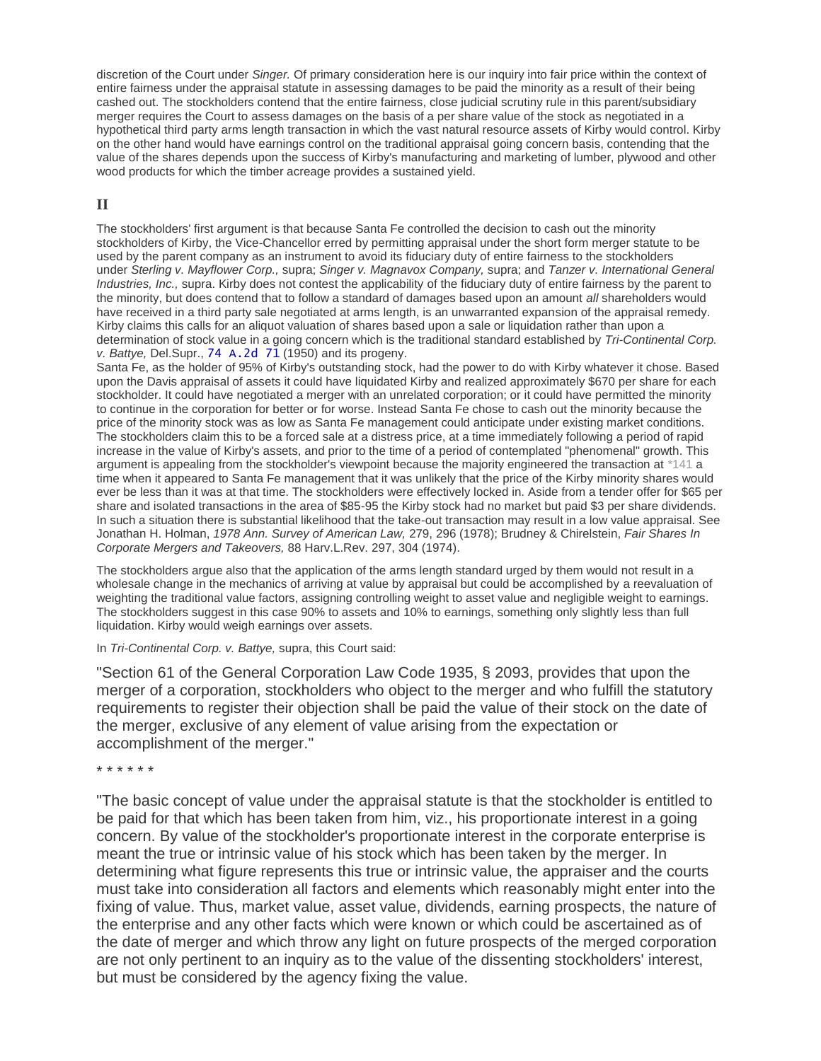discretion of the Court under *Singer.* Of primary consideration here is our inquiry into fair price within the context of entire fairness under the appraisal statute in assessing damages to be paid the minority as a result of their being cashed out. The stockholders contend that the entire fairness, close judicial scrutiny rule in this parent/subsidiary merger requires the Court to assess damages on the basis of a per share value of the stock as negotiated in a hypothetical third party arms length transaction in which the vast natural resource assets of Kirby would control. Kirby on the other hand would have earnings control on the traditional appraisal going concern basis, contending that the value of the shares depends upon the success of Kirby's manufacturing and marketing of lumber, plywood and other wood products for which the timber acreage provides a sustained yield.

# **II**

The stockholders' first argument is that because Santa Fe controlled the decision to cash out the minority stockholders of Kirby, the Vice-Chancellor erred by permitting appraisal under the short form merger statute to be used by the parent company as an instrument to avoid its fiduciary duty of entire fairness to the stockholders under *Sterling v. Mayflower Corp.,* supra; *Singer v. Magnavox Company,* supra; and *Tanzer v. International General Industries, Inc.,* supra. Kirby does not contest the applicability of the fiduciary duty of entire fairness by the parent to the minority, but does contend that to follow a standard of damages based upon an amount *all* shareholders would have received in a third party sale negotiated at arms length, is an unwarranted expansion of the appraisal remedy. Kirby claims this calls for an aliquot valuation of shares based upon a sale or liquidation rather than upon a determination of stock value in a going concern which is the traditional standard established by *Tri-Continental Corp. v. Battye,* Del.Supr., 74 [A.2d](https://www.courtlistener.com/opinion/1491531/tri-continental-corporation-v-battye/) 71 (1950) and its progeny.

Santa Fe, as the holder of 95% of Kirby's outstanding stock, had the power to do with Kirby whatever it chose. Based upon the Davis appraisal of assets it could have liquidated Kirby and realized approximately \$670 per share for each stockholder. It could have negotiated a merger with an unrelated corporation; or it could have permitted the minority to continue in the corporation for better or for worse. Instead Santa Fe chose to cash out the minority because the price of the minority stock was as low as Santa Fe management could anticipate under existing market conditions. The stockholders claim this to be a forced sale at a distress price, at a time immediately following a period of rapid increase in the value of Kirby's assets, and prior to the time of a period of contemplated "phenomenal" growth. This argument is appealing from the stockholder's viewpoint because the majority engineered the transaction at \*141 a time when it appeared to Santa Fe management that it was unlikely that the price of the Kirby minority shares would ever be less than it was at that time. The stockholders were effectively locked in. Aside from a tender offer for \$65 per share and isolated transactions in the area of \$85-95 the Kirby stock had no market but paid \$3 per share dividends. In such a situation there is substantial likelihood that the take-out transaction may result in a low value appraisal. See Jonathan H. Holman, *1978 Ann. Survey of American Law,* 279, 296 (1978); Brudney & Chirelstein, *Fair Shares In Corporate Mergers and Takeovers,* 88 Harv.L.Rev. 297, 304 (1974).

The stockholders argue also that the application of the arms length standard urged by them would not result in a wholesale change in the mechanics of arriving at value by appraisal but could be accomplished by a reevaluation of weighting the traditional value factors, assigning controlling weight to asset value and negligible weight to earnings. The stockholders suggest in this case 90% to assets and 10% to earnings, something only slightly less than full liquidation. Kirby would weigh earnings over assets.

In *Tri-Continental Corp. v. Battye,* supra, this Court said:

"Section 61 of the General Corporation Law Code 1935, § 2093, provides that upon the merger of a corporation, stockholders who object to the merger and who fulfill the statutory requirements to register their objection shall be paid the value of their stock on the date of the merger, exclusive of any element of value arising from the expectation or accomplishment of the merger."

\* \* \* \* \* \*

"The basic concept of value under the appraisal statute is that the stockholder is entitled to be paid for that which has been taken from him, viz., his proportionate interest in a going concern. By value of the stockholder's proportionate interest in the corporate enterprise is meant the true or intrinsic value of his stock which has been taken by the merger. In determining what figure represents this true or intrinsic value, the appraiser and the courts must take into consideration all factors and elements which reasonably might enter into the fixing of value. Thus, market value, asset value, dividends, earning prospects, the nature of the enterprise and any other facts which were known or which could be ascertained as of the date of merger and which throw any light on future prospects of the merged corporation are not only pertinent to an inquiry as to the value of the dissenting stockholders' interest, but must be considered by the agency fixing the value.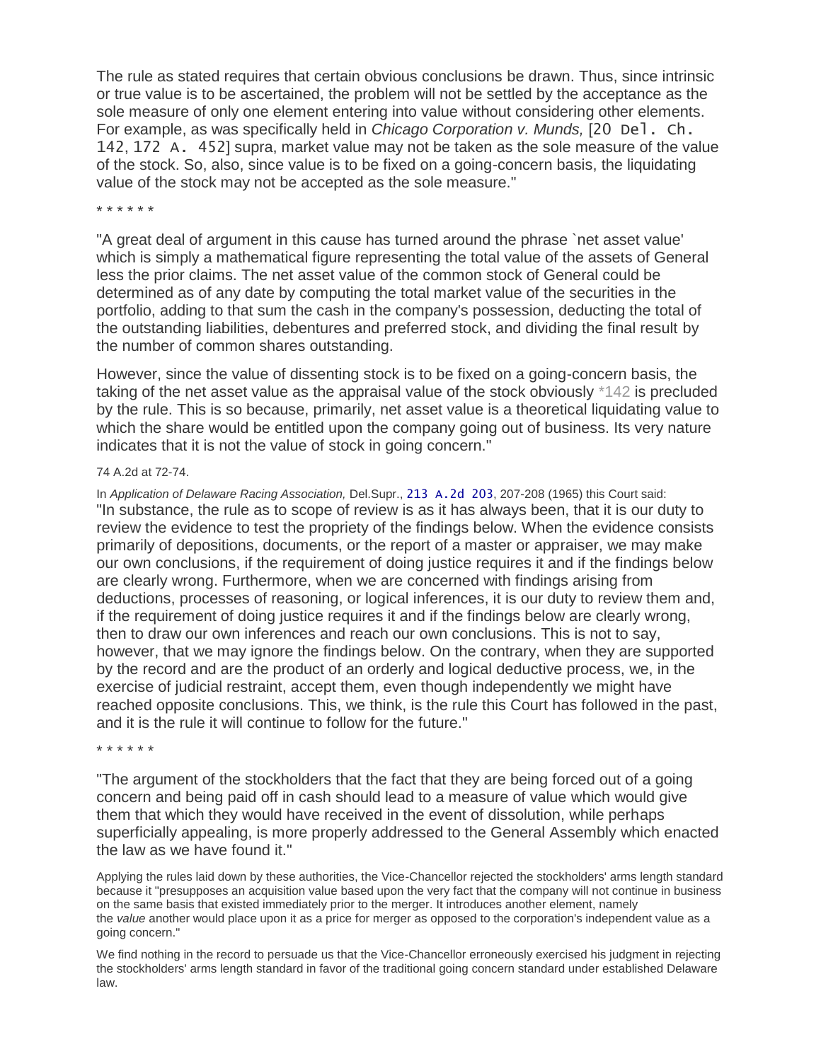The rule as stated requires that certain obvious conclusions be drawn. Thus, since intrinsic or true value is to be ascertained, the problem will not be settled by the acceptance as the sole measure of only one element entering into value without considering other elements. For example, as was specifically held in *Chicago Corporation v. Munds,* [20 Del. Ch. 142, 172 A. 452] supra, market value may not be taken as the sole measure of the value of the stock. So, also, since value is to be fixed on a going-concern basis, the liquidating value of the stock may not be accepted as the sole measure."

\* \* \* \* \* \*

"A great deal of argument in this cause has turned around the phrase `net asset value' which is simply a mathematical figure representing the total value of the assets of General less the prior claims. The net asset value of the common stock of General could be determined as of any date by computing the total market value of the securities in the portfolio, adding to that sum the cash in the company's possession, deducting the total of the outstanding liabilities, debentures and preferred stock, and dividing the final result by the number of common shares outstanding.

However, since the value of dissenting stock is to be fixed on a going-concern basis, the taking of the net asset value as the appraisal value of the stock obviously \*142 is precluded by the rule. This is so because, primarily, net asset value is a theoretical liquidating value to which the share would be entitled upon the company going out of business. Its very nature indicates that it is not the value of stock in going concern."

# 74 A.2d at 72-74.

In *Application of Delaware Racing Association,* Del.Supr., 213 [A.2d](https://www.courtlistener.com/opinion/1923346/application-of-delaware-racing-association/) 203, 207-208 (1965) this Court said: "In substance, the rule as to scope of review is as it has always been, that it is our duty to review the evidence to test the propriety of the findings below. When the evidence consists primarily of depositions, documents, or the report of a master or appraiser, we may make our own conclusions, if the requirement of doing justice requires it and if the findings below are clearly wrong. Furthermore, when we are concerned with findings arising from deductions, processes of reasoning, or logical inferences, it is our duty to review them and, if the requirement of doing justice requires it and if the findings below are clearly wrong, then to draw our own inferences and reach our own conclusions. This is not to say, however, that we may ignore the findings below. On the contrary, when they are supported by the record and are the product of an orderly and logical deductive process, we, in the exercise of judicial restraint, accept them, even though independently we might have reached opposite conclusions. This, we think, is the rule this Court has followed in the past, and it is the rule it will continue to follow for the future."

#### \* \* \* \* \* \*

"The argument of the stockholders that the fact that they are being forced out of a going concern and being paid off in cash should lead to a measure of value which would give them that which they would have received in the event of dissolution, while perhaps superficially appealing, is more properly addressed to the General Assembly which enacted the law as we have found it."

Applying the rules laid down by these authorities, the Vice-Chancellor rejected the stockholders' arms length standard because it "presupposes an acquisition value based upon the very fact that the company will not continue in business on the same basis that existed immediately prior to the merger. It introduces another element, namely the *value* another would place upon it as a price for merger as opposed to the corporation's independent value as a going concern."

We find nothing in the record to persuade us that the Vice-Chancellor erroneously exercised his judgment in rejecting the stockholders' arms length standard in favor of the traditional going concern standard under established Delaware law.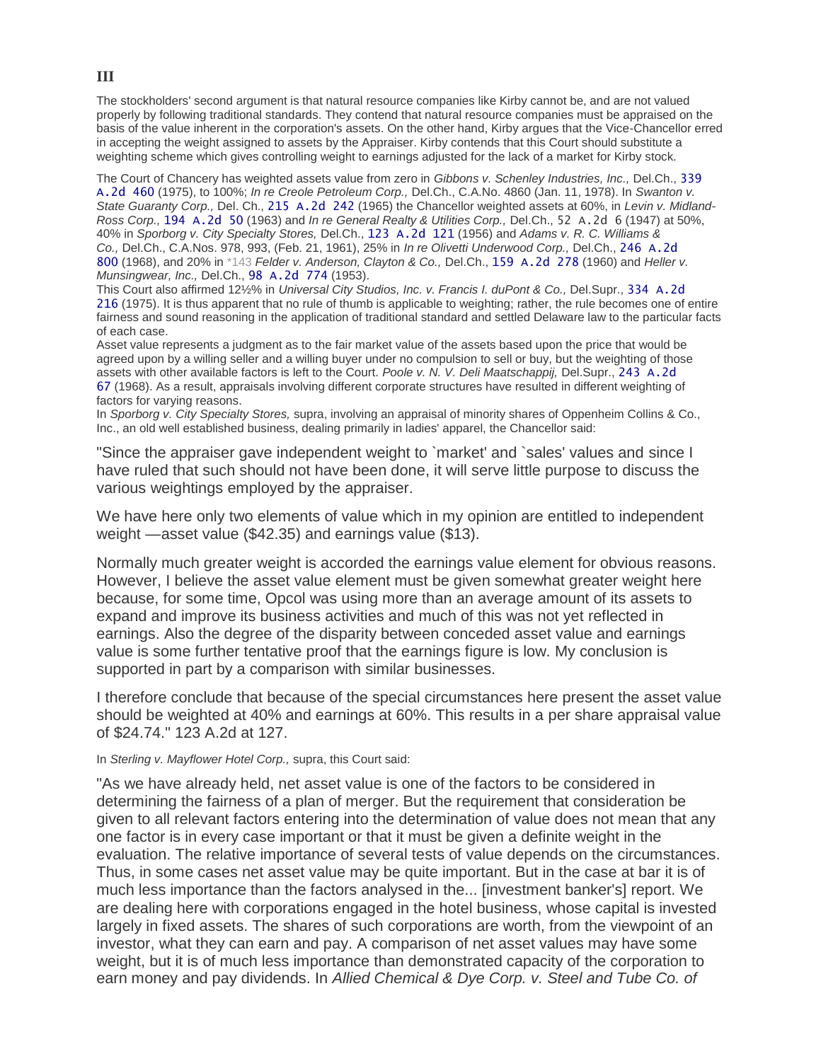#### **III**

The stockholders' second argument is that natural resource companies like Kirby cannot be, and are not valued properly by following traditional standards. They contend that natural resource companies must be appraised on the basis of the value inherent in the corporation's assets. On the other hand, Kirby argues that the Vice-Chancellor erred in accepting the weight assigned to assets by the Appraiser. Kirby contends that this Court should substitute a weighting scheme which gives controlling weight to earnings adjusted for the lack of a market for Kirby stock.

The Court of Chancery has weighted assets value from zero in *Gibbons v. Schenley Industries, Inc.,* Del.Ch., [339](https://www.courtlistener.com/opinion/1893592/gibbons-v-schenley-industries-inc/) [A.2d](https://www.courtlistener.com/opinion/1893592/gibbons-v-schenley-industries-inc/) 460 (1975), to 100%; *In re Creole Petroleum Corp.,* Del.Ch., C.A.No. 4860 (Jan. 11, 1978). In *Swanton v. State Guaranty Corp.,* Del. Ch., 215 [A.2d](https://www.courtlistener.com/opinion/2093741/swanton-v-state-guaranty-corporation/) 242 (1965) the Chancellor weighted assets at 60%, in *Levin v. Midland-Ross Corp.,* 194 [A.2d](https://www.courtlistener.com/opinion/2319899/levin-v-midland-ross-corporation/) 50 (1963) and *In re General Realty & Utilities Corp.,* Del.Ch., 52 A.2d 6 (1947) at 50%, 40% in *Sporborg v. City Specialty Stores,* Del.Ch., 123 [A.2d](https://www.courtlistener.com/opinion/1968508/sporborg-v-city-specialty-stores/) 121 (1956) and *Adams v. R. C. Williams & Co.,* Del.Ch., C.A.Nos. 978, 993, (Feb. 21, 1961), 25% in *In re Olivetti Underwood Corp.,* Del.Ch., 246 [A.2d](https://www.courtlistener.com/opinion/1514709/in-re-olivetti-underwood-corporation/) [800](https://www.courtlistener.com/opinion/1514709/in-re-olivetti-underwood-corporation/) (1968), and 20% in \*143 *Felder v. Anderson, Clayton & Co.,* Del.Ch., 159 [A.2d](https://www.courtlistener.com/opinion/1950338/felder-v-anderson-clayton-co/) 278 (1960) and *Heller v. Munsingwear, Inc.,* Del.Ch., 98 [A.2d](https://www.courtlistener.com/opinion/2315601/heller-v-munsingwear-inc/) 774 (1953).

This Court also affirmed 12½% in *Universal City Studios, Inc. v. Francis I. duPont & Co.,* Del.Supr., 334 [A.2d](https://www.courtlistener.com/opinion/2195943/universal-city-studios-inc-v-francis-i-dupont-co/) [216](https://www.courtlistener.com/opinion/2195943/universal-city-studios-inc-v-francis-i-dupont-co/) (1975). It is thus apparent that no rule of thumb is applicable to weighting; rather, the rule becomes one of entire fairness and sound reasoning in the application of traditional standard and settled Delaware law to the particular facts of each case.

Asset value represents a judgment as to the fair market value of the assets based upon the price that would be agreed upon by a willing seller and a willing buyer under no compulsion to sell or buy, but the weighting of those assets with other available factors is left to the Court. *Poole v. N. V. Deli Maatschappij,* Del.Supr., 243 [A.2d](https://www.courtlistener.com/opinion/1993791/poole-v-nv-deli-maatschappij/) [67](https://www.courtlistener.com/opinion/1993791/poole-v-nv-deli-maatschappij/) (1968). As a result, appraisals involving different corporate structures have resulted in different weighting of factors for varying reasons.

In *Sporborg v. City Specialty Stores,* supra, involving an appraisal of minority shares of Oppenheim Collins & Co., Inc., an old well established business, dealing primarily in ladies' apparel, the Chancellor said:

"Since the appraiser gave independent weight to `market' and `sales' values and since I have ruled that such should not have been done, it will serve little purpose to discuss the various weightings employed by the appraiser.

We have here only two elements of value which in my opinion are entitled to independent weight —asset value (\$42.35) and earnings value (\$13).

Normally much greater weight is accorded the earnings value element for obvious reasons. However, I believe the asset value element must be given somewhat greater weight here because, for some time, Opcol was using more than an average amount of its assets to expand and improve its business activities and much of this was not yet reflected in earnings. Also the degree of the disparity between conceded asset value and earnings value is some further tentative proof that the earnings figure is low. My conclusion is supported in part by a comparison with similar businesses.

I therefore conclude that because of the special circumstances here present the asset value should be weighted at 40% and earnings at 60%. This results in a per share appraisal value of \$24.74." 123 A.2d at 127.

#### In *Sterling v. Mayflower Hotel Corp.,* supra, this Court said:

"As we have already held, net asset value is one of the factors to be considered in determining the fairness of a plan of merger. But the requirement that consideration be given to all relevant factors entering into the determination of value does not mean that any one factor is in every case important or that it must be given a definite weight in the evaluation. The relative importance of several tests of value depends on the circumstances. Thus, in some cases net asset value may be quite important. But in the case at bar it is of much less importance than the factors analysed in the... [investment banker's] report. We are dealing here with corporations engaged in the hotel business, whose capital is invested largely in fixed assets. The shares of such corporations are worth, from the viewpoint of an investor, what they can earn and pay. A comparison of net asset values may have some weight, but it is of much less importance than demonstrated capacity of the corporation to earn money and pay dividends. In *Allied Chemical & Dye Corp. v. Steel and Tube Co. of*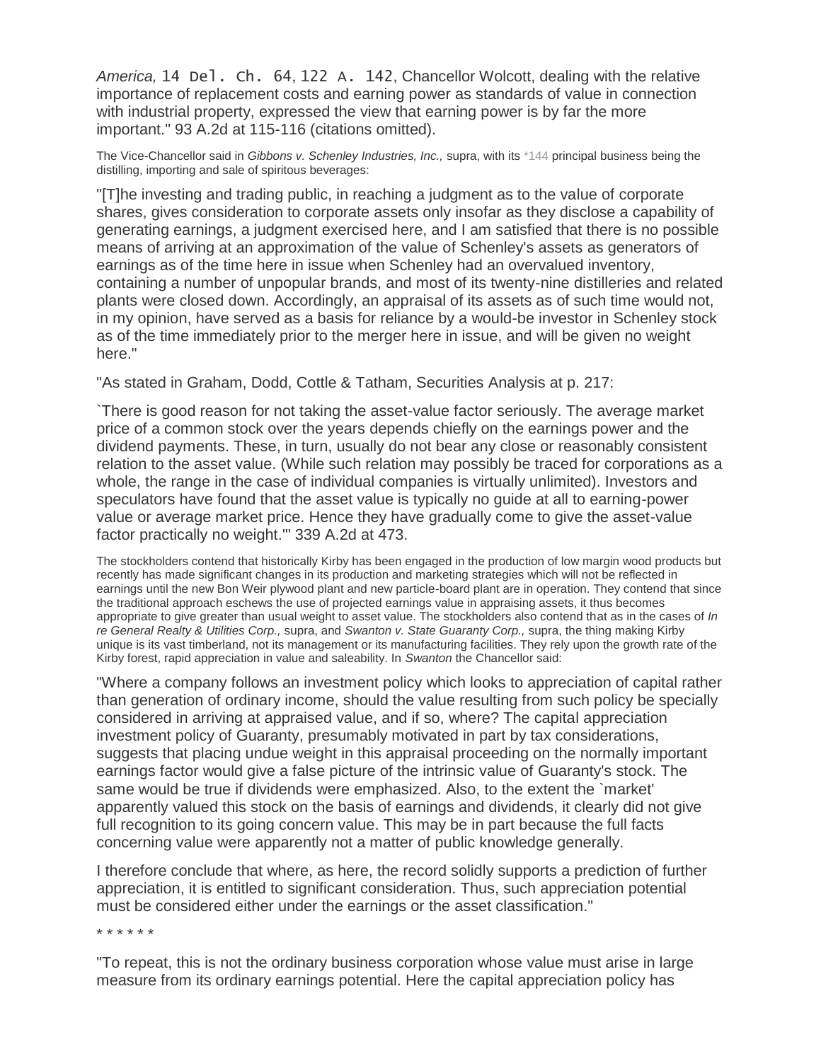*America,* 14 Del. Ch. 64, 122 A. 142, Chancellor Wolcott, dealing with the relative importance of replacement costs and earning power as standards of value in connection with industrial property, expressed the view that earning power is by far the more important." 93 A.2d at 115-116 (citations omitted).

The Vice-Chancellor said in *Gibbons v. Schenley Industries, Inc.,* supra, with its \*144 principal business being the distilling, importing and sale of spiritous beverages:

"[T]he investing and trading public, in reaching a judgment as to the value of corporate shares, gives consideration to corporate assets only insofar as they disclose a capability of generating earnings, a judgment exercised here, and I am satisfied that there is no possible means of arriving at an approximation of the value of Schenley's assets as generators of earnings as of the time here in issue when Schenley had an overvalued inventory, containing a number of unpopular brands, and most of its twenty-nine distilleries and related plants were closed down. Accordingly, an appraisal of its assets as of such time would not, in my opinion, have served as a basis for reliance by a would-be investor in Schenley stock as of the time immediately prior to the merger here in issue, and will be given no weight here."

"As stated in Graham, Dodd, Cottle & Tatham, Securities Analysis at p. 217:

`There is good reason for not taking the asset-value factor seriously. The average market price of a common stock over the years depends chiefly on the earnings power and the dividend payments. These, in turn, usually do not bear any close or reasonably consistent relation to the asset value. (While such relation may possibly be traced for corporations as a whole, the range in the case of individual companies is virtually unlimited). Investors and speculators have found that the asset value is typically no guide at all to earning-power value or average market price. Hence they have gradually come to give the asset-value factor practically no weight.'" 339 A.2d at 473.

The stockholders contend that historically Kirby has been engaged in the production of low margin wood products but recently has made significant changes in its production and marketing strategies which will not be reflected in earnings until the new Bon Weir plywood plant and new particle-board plant are in operation. They contend that since the traditional approach eschews the use of projected earnings value in appraising assets, it thus becomes appropriate to give greater than usual weight to asset value. The stockholders also contend that as in the cases of *In re General Realty & Utilities Corp.,* supra, and *Swanton v. State Guaranty Corp.,* supra, the thing making Kirby unique is its vast timberland, not its management or its manufacturing facilities. They rely upon the growth rate of the Kirby forest, rapid appreciation in value and saleability. In *Swanton* the Chancellor said:

"Where a company follows an investment policy which looks to appreciation of capital rather than generation of ordinary income, should the value resulting from such policy be specially considered in arriving at appraised value, and if so, where? The capital appreciation investment policy of Guaranty, presumably motivated in part by tax considerations, suggests that placing undue weight in this appraisal proceeding on the normally important earnings factor would give a false picture of the intrinsic value of Guaranty's stock. The same would be true if dividends were emphasized. Also, to the extent the `market' apparently valued this stock on the basis of earnings and dividends, it clearly did not give full recognition to its going concern value. This may be in part because the full facts concerning value were apparently not a matter of public knowledge generally.

I therefore conclude that where, as here, the record solidly supports a prediction of further appreciation, it is entitled to significant consideration. Thus, such appreciation potential must be considered either under the earnings or the asset classification."

\* \* \* \* \* \*

"To repeat, this is not the ordinary business corporation whose value must arise in large measure from its ordinary earnings potential. Here the capital appreciation policy has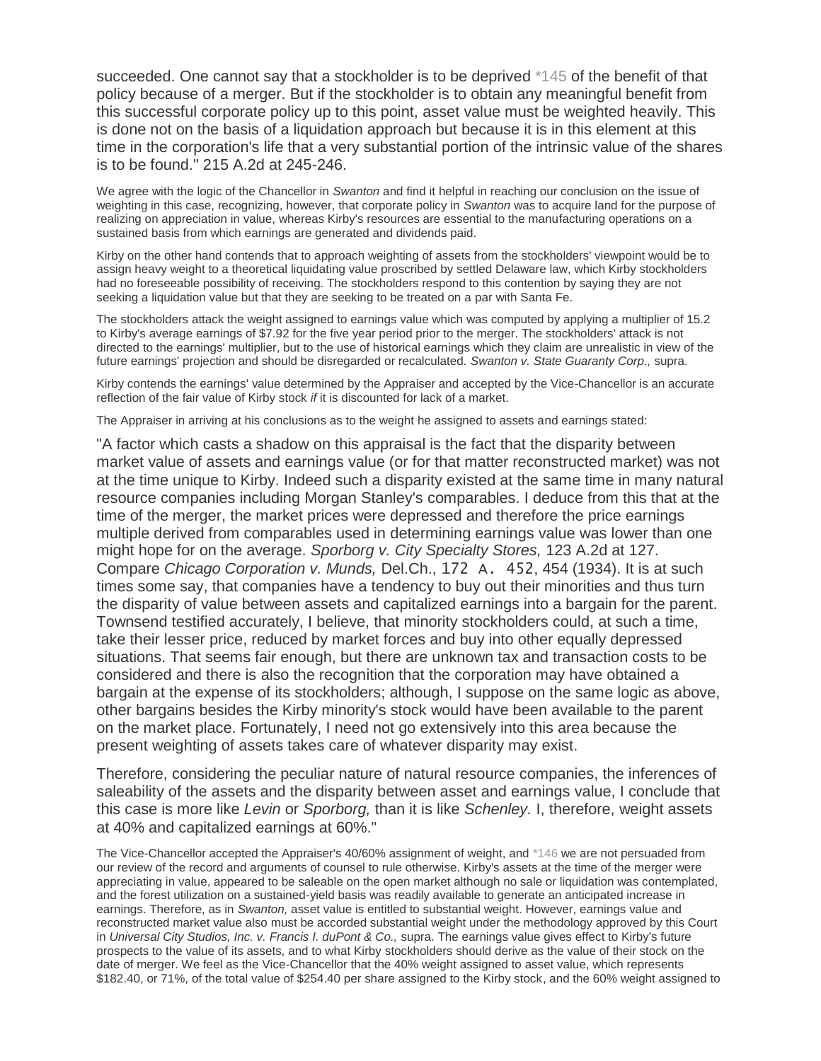succeeded. One cannot say that a stockholder is to be deprived \*145 of the benefit of that policy because of a merger. But if the stockholder is to obtain any meaningful benefit from this successful corporate policy up to this point, asset value must be weighted heavily. This is done not on the basis of a liquidation approach but because it is in this element at this time in the corporation's life that a very substantial portion of the intrinsic value of the shares is to be found." 215 A.2d at 245-246.

We agree with the logic of the Chancellor in *Swanton* and find it helpful in reaching our conclusion on the issue of weighting in this case, recognizing, however, that corporate policy in *Swanton* was to acquire land for the purpose of realizing on appreciation in value, whereas Kirby's resources are essential to the manufacturing operations on a sustained basis from which earnings are generated and dividends paid.

Kirby on the other hand contends that to approach weighting of assets from the stockholders' viewpoint would be to assign heavy weight to a theoretical liquidating value proscribed by settled Delaware law, which Kirby stockholders had no foreseeable possibility of receiving. The stockholders respond to this contention by saying they are not seeking a liquidation value but that they are seeking to be treated on a par with Santa Fe.

The stockholders attack the weight assigned to earnings value which was computed by applying a multiplier of 15.2 to Kirby's average earnings of \$7.92 for the five year period prior to the merger. The stockholders' attack is not directed to the earnings' multiplier, but to the use of historical earnings which they claim are unrealistic in view of the future earnings' projection and should be disregarded or recalculated. *Swanton v. State Guaranty Corp.,* supra.

Kirby contends the earnings' value determined by the Appraiser and accepted by the Vice-Chancellor is an accurate reflection of the fair value of Kirby stock *if* it is discounted for lack of a market.

The Appraiser in arriving at his conclusions as to the weight he assigned to assets and earnings stated:

"A factor which casts a shadow on this appraisal is the fact that the disparity between market value of assets and earnings value (or for that matter reconstructed market) was not at the time unique to Kirby. Indeed such a disparity existed at the same time in many natural resource companies including Morgan Stanley's comparables. I deduce from this that at the time of the merger, the market prices were depressed and therefore the price earnings multiple derived from comparables used in determining earnings value was lower than one might hope for on the average. *Sporborg v. City Specialty Stores,* 123 A.2d at 127. Compare *Chicago Corporation v. Munds,* Del.Ch., 172 A. 452, 454 (1934). It is at such times some say, that companies have a tendency to buy out their minorities and thus turn the disparity of value between assets and capitalized earnings into a bargain for the parent. Townsend testified accurately, I believe, that minority stockholders could, at such a time, take their lesser price, reduced by market forces and buy into other equally depressed situations. That seems fair enough, but there are unknown tax and transaction costs to be considered and there is also the recognition that the corporation may have obtained a bargain at the expense of its stockholders; although, I suppose on the same logic as above, other bargains besides the Kirby minority's stock would have been available to the parent on the market place. Fortunately, I need not go extensively into this area because the present weighting of assets takes care of whatever disparity may exist.

Therefore, considering the peculiar nature of natural resource companies, the inferences of saleability of the assets and the disparity between asset and earnings value, I conclude that this case is more like *Levin* or *Sporborg,* than it is like *Schenley.* I, therefore, weight assets at 40% and capitalized earnings at 60%."

The Vice-Chancellor accepted the Appraiser's 40/60% assignment of weight, and \*146 we are not persuaded from our review of the record and arguments of counsel to rule otherwise. Kirby's assets at the time of the merger were appreciating in value, appeared to be saleable on the open market although no sale or liquidation was contemplated, and the forest utilization on a sustained-yield basis was readily available to generate an anticipated increase in earnings. Therefore, as in *Swanton,* asset value is entitled to substantial weight. However, earnings value and reconstructed market value also must be accorded substantial weight under the methodology approved by this Court in *Universal City Studios, Inc. v. Francis I. duPont & Co.,* supra. The earnings value gives effect to Kirby's future prospects to the value of its assets, and to what Kirby stockholders should derive as the value of their stock on the date of merger. We feel as the Vice-Chancellor that the 40% weight assigned to asset value, which represents \$182.40, or 71%, of the total value of \$254.40 per share assigned to the Kirby stock, and the 60% weight assigned to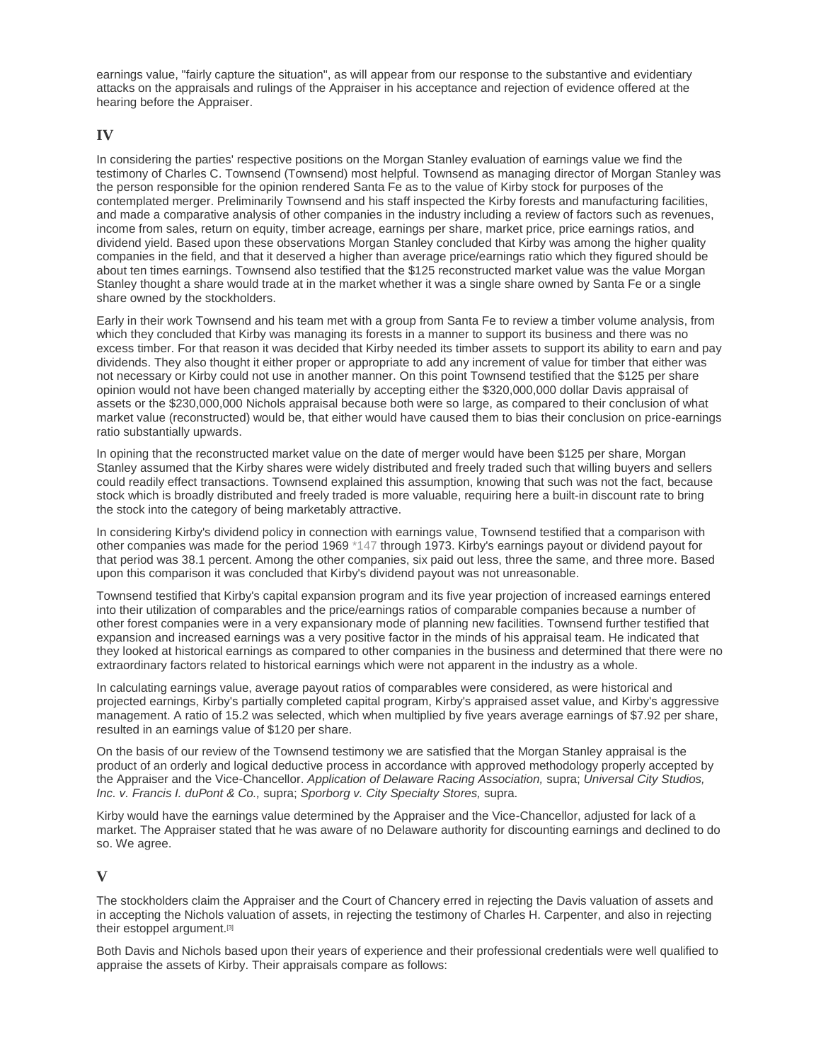earnings value, "fairly capture the situation", as will appear from our response to the substantive and evidentiary attacks on the appraisals and rulings of the Appraiser in his acceptance and rejection of evidence offered at the hearing before the Appraiser.

#### **IV**

In considering the parties' respective positions on the Morgan Stanley evaluation of earnings value we find the testimony of Charles C. Townsend (Townsend) most helpful. Townsend as managing director of Morgan Stanley was the person responsible for the opinion rendered Santa Fe as to the value of Kirby stock for purposes of the contemplated merger. Preliminarily Townsend and his staff inspected the Kirby forests and manufacturing facilities, and made a comparative analysis of other companies in the industry including a review of factors such as revenues, income from sales, return on equity, timber acreage, earnings per share, market price, price earnings ratios, and dividend yield. Based upon these observations Morgan Stanley concluded that Kirby was among the higher quality companies in the field, and that it deserved a higher than average price/earnings ratio which they figured should be about ten times earnings. Townsend also testified that the \$125 reconstructed market value was the value Morgan Stanley thought a share would trade at in the market whether it was a single share owned by Santa Fe or a single share owned by the stockholders.

Early in their work Townsend and his team met with a group from Santa Fe to review a timber volume analysis, from which they concluded that Kirby was managing its forests in a manner to support its business and there was no excess timber. For that reason it was decided that Kirby needed its timber assets to support its ability to earn and pay dividends. They also thought it either proper or appropriate to add any increment of value for timber that either was not necessary or Kirby could not use in another manner. On this point Townsend testified that the \$125 per share opinion would not have been changed materially by accepting either the \$320,000,000 dollar Davis appraisal of assets or the \$230,000,000 Nichols appraisal because both were so large, as compared to their conclusion of what market value (reconstructed) would be, that either would have caused them to bias their conclusion on price-earnings ratio substantially upwards.

In opining that the reconstructed market value on the date of merger would have been \$125 per share, Morgan Stanley assumed that the Kirby shares were widely distributed and freely traded such that willing buyers and sellers could readily effect transactions. Townsend explained this assumption, knowing that such was not the fact, because stock which is broadly distributed and freely traded is more valuable, requiring here a built-in discount rate to bring the stock into the category of being marketably attractive.

In considering Kirby's dividend policy in connection with earnings value, Townsend testified that a comparison with other companies was made for the period 1969 \*147 through 1973. Kirby's earnings payout or dividend payout for that period was 38.1 percent. Among the other companies, six paid out less, three the same, and three more. Based upon this comparison it was concluded that Kirby's dividend payout was not unreasonable.

Townsend testified that Kirby's capital expansion program and its five year projection of increased earnings entered into their utilization of comparables and the price/earnings ratios of comparable companies because a number of other forest companies were in a very expansionary mode of planning new facilities. Townsend further testified that expansion and increased earnings was a very positive factor in the minds of his appraisal team. He indicated that they looked at historical earnings as compared to other companies in the business and determined that there were no extraordinary factors related to historical earnings which were not apparent in the industry as a whole.

In calculating earnings value, average payout ratios of comparables were considered, as were historical and projected earnings, Kirby's partially completed capital program, Kirby's appraised asset value, and Kirby's aggressive management. A ratio of 15.2 was selected, which when multiplied by five years average earnings of \$7.92 per share, resulted in an earnings value of \$120 per share.

On the basis of our review of the Townsend testimony we are satisfied that the Morgan Stanley appraisal is the product of an orderly and logical deductive process in accordance with approved methodology properly accepted by the Appraiser and the Vice-Chancellor. *Application of Delaware Racing Association,* supra; *Universal City Studios, Inc. v. Francis I. duPont & Co.,* supra; *Sporborg v. City Specialty Stores,* supra.

Kirby would have the earnings value determined by the Appraiser and the Vice-Chancellor, adjusted for lack of a market. The Appraiser stated that he was aware of no Delaware authority for discounting earnings and declined to do so. We agree.

#### **V**

The stockholders claim the Appraiser and the Court of Chancery erred in rejecting the Davis valuation of assets and in accepting the Nichols valuation of assets, in rejecting the testimony of Charles H. Carpenter, and also in rejecting their estoppel argument.[3]

Both Davis and Nichols based upon their years of experience and their professional credentials were well qualified to appraise the assets of Kirby. Their appraisals compare as follows: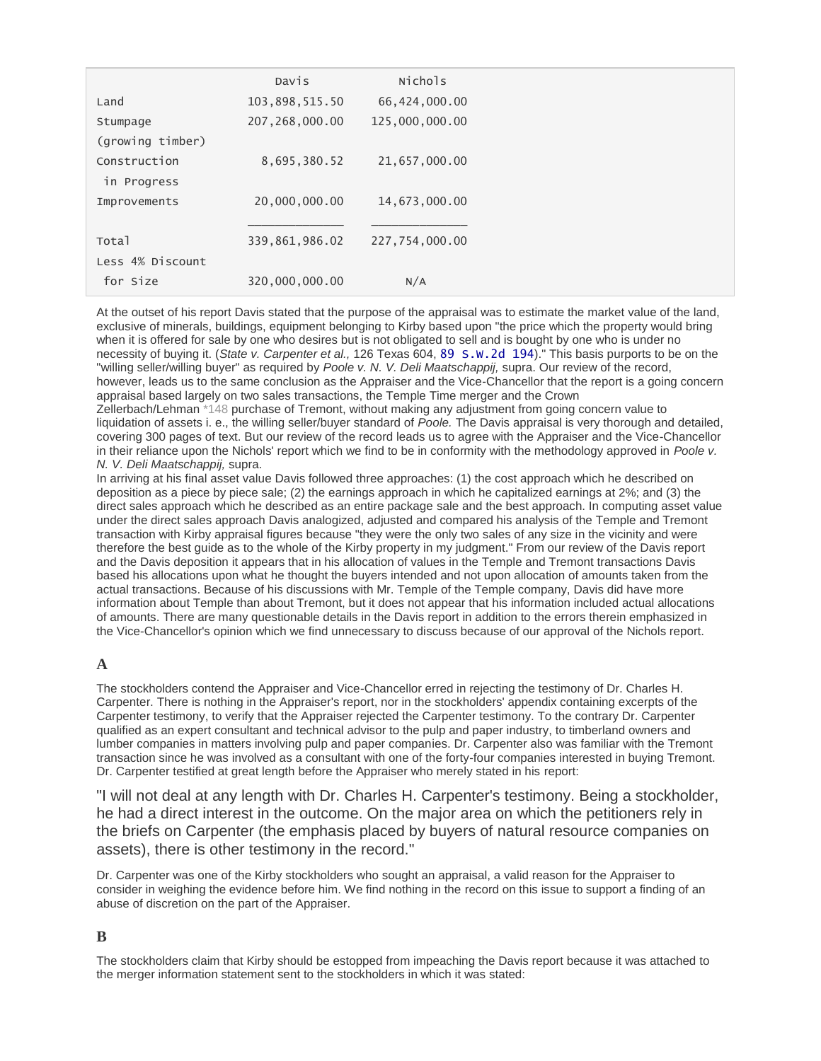|                  | Davis            | Nichols        |
|------------------|------------------|----------------|
| Land             | 103,898,515.50   | 66,424,000.00  |
| Stumpage         | 207, 268, 000.00 | 125,000,000.00 |
| (growing timber) |                  |                |
| Construction     | 8,695,380.52     | 21,657,000.00  |
| in Progress      |                  |                |
| Improvements     | 20,000,000.00    | 14,673,000.00  |
|                  |                  |                |
| Total            | 339,861,986.02   | 227,754,000.00 |
| Less 4% Discount |                  |                |
| for Size         | 320,000,000.00   | N/A            |

At the outset of his report Davis stated that the purpose of the appraisal was to estimate the market value of the land, exclusive of minerals, buildings, equipment belonging to Kirby based upon "the price which the property would bring when it is offered for sale by one who desires but is not obligated to sell and is bought by one who is under no necessity of buying it. (*State v. Carpenter et al.,* 126 Texas 604, 89 [S.W.2d](https://www.courtlistener.com/opinion/4193424/state-v-carpenter/) 194)." This basis purports to be on the "willing seller/willing buyer" as required by *Poole v. N. V. Deli Maatschappij,* supra. Our review of the record, however, leads us to the same conclusion as the Appraiser and the Vice-Chancellor that the report is a going concern appraisal based largely on two sales transactions, the Temple Time merger and the Crown

Zellerbach/Lehman \*148 purchase of Tremont, without making any adjustment from going concern value to liquidation of assets i. e., the willing seller/buyer standard of *Poole.* The Davis appraisal is very thorough and detailed, covering 300 pages of text. But our review of the record leads us to agree with the Appraiser and the Vice-Chancellor in their reliance upon the Nichols' report which we find to be in conformity with the methodology approved in *Poole v. N. V. Deli Maatschappij,* supra.

In arriving at his final asset value Davis followed three approaches: (1) the cost approach which he described on deposition as a piece by piece sale; (2) the earnings approach in which he capitalized earnings at 2%; and (3) the direct sales approach which he described as an entire package sale and the best approach. In computing asset value under the direct sales approach Davis analogized, adjusted and compared his analysis of the Temple and Tremont transaction with Kirby appraisal figures because "they were the only two sales of any size in the vicinity and were therefore the best guide as to the whole of the Kirby property in my judgment." From our review of the Davis report and the Davis deposition it appears that in his allocation of values in the Temple and Tremont transactions Davis based his allocations upon what he thought the buyers intended and not upon allocation of amounts taken from the actual transactions. Because of his discussions with Mr. Temple of the Temple company, Davis did have more information about Temple than about Tremont, but it does not appear that his information included actual allocations of amounts. There are many questionable details in the Davis report in addition to the errors therein emphasized in the Vice-Chancellor's opinion which we find unnecessary to discuss because of our approval of the Nichols report.

#### **A**

The stockholders contend the Appraiser and Vice-Chancellor erred in rejecting the testimony of Dr. Charles H. Carpenter. There is nothing in the Appraiser's report, nor in the stockholders' appendix containing excerpts of the Carpenter testimony, to verify that the Appraiser rejected the Carpenter testimony. To the contrary Dr. Carpenter qualified as an expert consultant and technical advisor to the pulp and paper industry, to timberland owners and lumber companies in matters involving pulp and paper companies. Dr. Carpenter also was familiar with the Tremont transaction since he was involved as a consultant with one of the forty-four companies interested in buying Tremont. Dr. Carpenter testified at great length before the Appraiser who merely stated in his report:

"I will not deal at any length with Dr. Charles H. Carpenter's testimony. Being a stockholder, he had a direct interest in the outcome. On the major area on which the petitioners rely in the briefs on Carpenter (the emphasis placed by buyers of natural resource companies on assets), there is other testimony in the record."

Dr. Carpenter was one of the Kirby stockholders who sought an appraisal, a valid reason for the Appraiser to consider in weighing the evidence before him. We find nothing in the record on this issue to support a finding of an abuse of discretion on the part of the Appraiser.

#### **B**

The stockholders claim that Kirby should be estopped from impeaching the Davis report because it was attached to the merger information statement sent to the stockholders in which it was stated: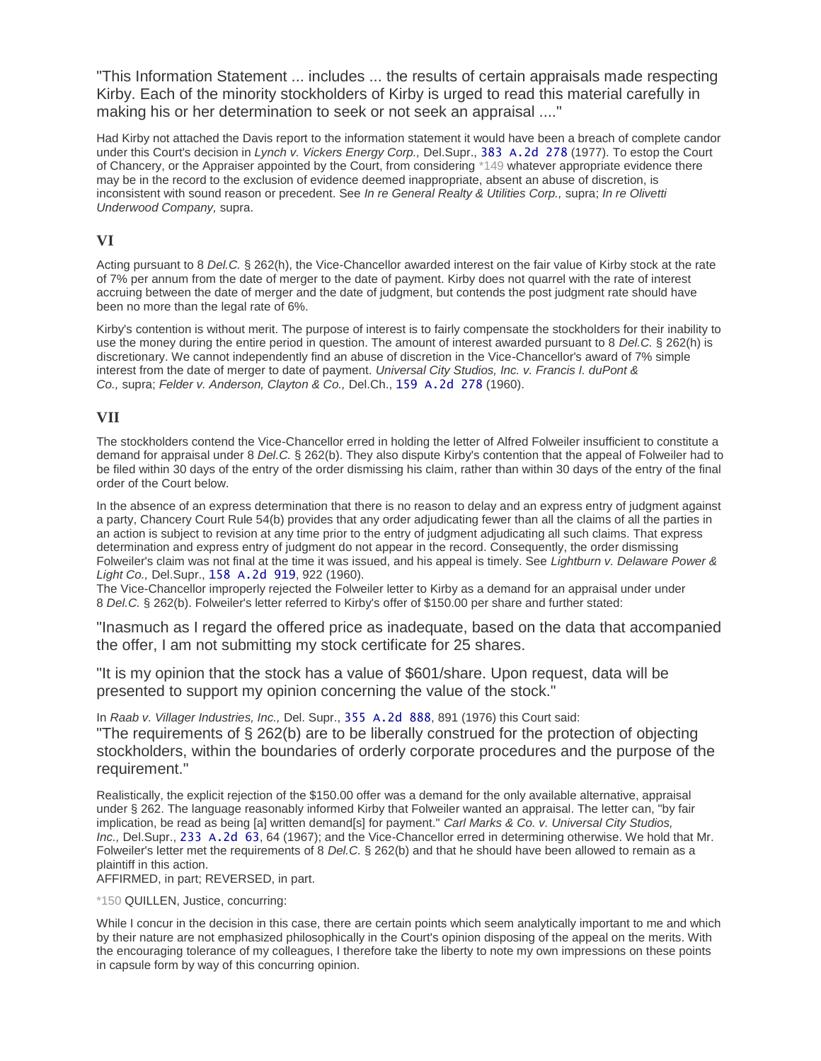"This Information Statement ... includes ... the results of certain appraisals made respecting Kirby. Each of the minority stockholders of Kirby is urged to read this material carefully in making his or her determination to seek or not seek an appraisal ...."

Had Kirby not attached the Davis report to the information statement it would have been a breach of complete candor under this Court's decision in *Lynch v. Vickers Energy Corp.,* Del.Supr., 383 [A.2d](https://www.courtlistener.com/opinion/2389444/lynch-v-vickers-energy-corp/) 278 (1977). To estop the Court of Chancery, or the Appraiser appointed by the Court, from considering \*149 whatever appropriate evidence there may be in the record to the exclusion of evidence deemed inappropriate, absent an abuse of discretion, is inconsistent with sound reason or precedent. See *In re General Realty & Utilities Corp.,* supra; *In re Olivetti Underwood Company,* supra.

# **VI**

Acting pursuant to 8 *Del.C.* § 262(h), the Vice-Chancellor awarded interest on the fair value of Kirby stock at the rate of 7% per annum from the date of merger to the date of payment. Kirby does not quarrel with the rate of interest accruing between the date of merger and the date of judgment, but contends the post judgment rate should have been no more than the legal rate of 6%.

Kirby's contention is without merit. The purpose of interest is to fairly compensate the stockholders for their inability to use the money during the entire period in question. The amount of interest awarded pursuant to 8 *Del.C.* § 262(h) is discretionary. We cannot independently find an abuse of discretion in the Vice-Chancellor's award of 7% simple interest from the date of merger to date of payment. *Universal City Studios, Inc. v. Francis I. duPont & Co.,* supra; *Felder v. Anderson, Clayton & Co.,* Del.Ch., 159 [A.2d](https://www.courtlistener.com/opinion/1950338/felder-v-anderson-clayton-co/) 278 (1960).

### **VII**

The stockholders contend the Vice-Chancellor erred in holding the letter of Alfred Folweiler insufficient to constitute a demand for appraisal under 8 *Del.C.* § 262(b). They also dispute Kirby's contention that the appeal of Folweiler had to be filed within 30 days of the entry of the order dismissing his claim, rather than within 30 days of the entry of the final order of the Court below.

In the absence of an express determination that there is no reason to delay and an express entry of judgment against a party, Chancery Court Rule 54(b) provides that any order adjudicating fewer than all the claims of all the parties in an action is subject to revision at any time prior to the entry of judgment adjudicating all such claims. That express determination and express entry of judgment do not appear in the record. Consequently, the order dismissing Folweiler's claim was not final at the time it was issued, and his appeal is timely. See *Lightburn v. Delaware Power & Light Co.,* Del.Supr., 158 [A.2d](https://www.courtlistener.com/opinion/1466432/lightburn-v-delaware-power-light-company/) 919, 922 (1960).

The Vice-Chancellor improperly rejected the Folweiler letter to Kirby as a demand for an appraisal under under 8 *Del.C.* § 262(b). Folweiler's letter referred to Kirby's offer of \$150.00 per share and further stated:

"Inasmuch as I regard the offered price as inadequate, based on the data that accompanied the offer, I am not submitting my stock certificate for 25 shares.

"It is my opinion that the stock has a value of \$601/share. Upon request, data will be presented to support my opinion concerning the value of the stock."

In *Raab v. Villager Industries, Inc.,* Del. Supr., 355 [A.2d](https://www.courtlistener.com/opinion/1537518/raab-v-villager-industries-inc/) 888, 891 (1976) this Court said:

"The requirements of § 262(b) are to be liberally construed for the protection of objecting stockholders, within the boundaries of orderly corporate procedures and the purpose of the requirement."

Realistically, the explicit rejection of the \$150.00 offer was a demand for the only available alternative, appraisal under § 262. The language reasonably informed Kirby that Folweiler wanted an appraisal. The letter can, "by fair implication, be read as being [a] written demand[s] for payment." *Carl Marks & Co. v. Universal City Studios, Inc.,* Del.Supr., 233 [A.2d](https://www.courtlistener.com/opinion/2353951/carl-marks-co-v-universal-city-studios-inc/) 63, 64 (1967); and the Vice-Chancellor erred in determining otherwise. We hold that Mr. Folweiler's letter met the requirements of 8 *Del.C.* § 262(b) and that he should have been allowed to remain as a plaintiff in this action.

AFFIRMED, in part; REVERSED, in part.

\*150 QUILLEN, Justice, concurring:

While I concur in the decision in this case, there are certain points which seem analytically important to me and which by their nature are not emphasized philosophically in the Court's opinion disposing of the appeal on the merits. With the encouraging tolerance of my colleagues, I therefore take the liberty to note my own impressions on these points in capsule form by way of this concurring opinion.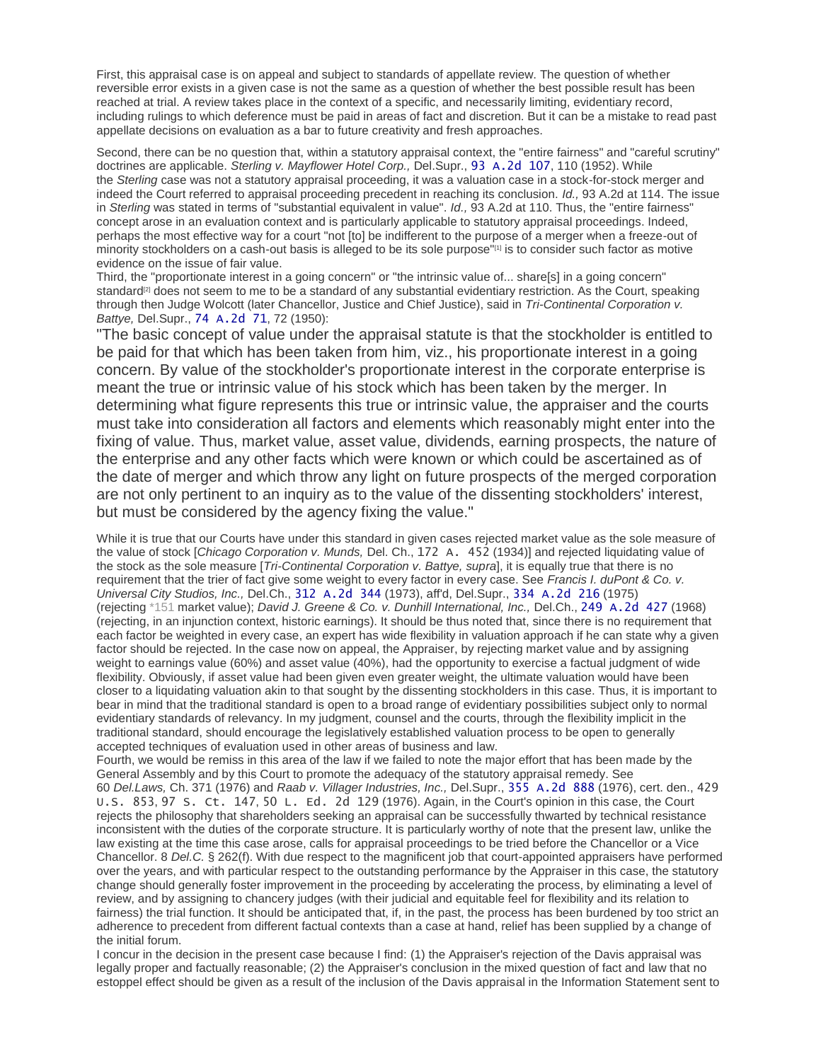First, this appraisal case is on appeal and subject to standards of appellate review. The question of whether reversible error exists in a given case is not the same as a question of whether the best possible result has been reached at trial. A review takes place in the context of a specific, and necessarily limiting, evidentiary record, including rulings to which deference must be paid in areas of fact and discretion. But it can be a mistake to read past appellate decisions on evaluation as a bar to future creativity and fresh approaches.

Second, there can be no question that, within a statutory appraisal context, the "entire fairness" and "careful scrutiny" doctrines are applicable. *Sterling v. Mayflower Hotel Corp.,* Del.Supr., 93 [A.2d](https://www.courtlistener.com/opinion/2336109/sterling-v-mayflower-hotel-corp/) 107, 110 (1952). While the *Sterling* case was not a statutory appraisal proceeding, it was a valuation case in a stock-for-stock merger and indeed the Court referred to appraisal proceeding precedent in reaching its conclusion. *Id.,* 93 A.2d at 114. The issue in *Sterling* was stated in terms of "substantial equivalent in value". *Id.,* 93 A.2d at 110. Thus, the "entire fairness" concept arose in an evaluation context and is particularly applicable to statutory appraisal proceedings. Indeed, perhaps the most effective way for a court "not [to] be indifferent to the purpose of a merger when a freeze-out of minority stockholders on a cash-out basis is alleged to be its sole purpose"[1] is to consider such factor as motive evidence on the issue of fair value.

Third, the "proportionate interest in a going concern" or "the intrinsic value of... share[s] in a going concern" standard<sup>[2]</sup> does not seem to me to be a standard of any substantial evidentiary restriction. As the Court, speaking through then Judge Wolcott (later Chancellor, Justice and Chief Justice), said in *Tri-Continental Corporation v. Battye,* Del.Supr., 74 [A.2d](https://www.courtlistener.com/opinion/1491531/tri-continental-corporation-v-battye/) 71, 72 (1950):

"The basic concept of value under the appraisal statute is that the stockholder is entitled to be paid for that which has been taken from him, viz., his proportionate interest in a going concern. By value of the stockholder's proportionate interest in the corporate enterprise is meant the true or intrinsic value of his stock which has been taken by the merger. In determining what figure represents this true or intrinsic value, the appraiser and the courts must take into consideration all factors and elements which reasonably might enter into the fixing of value. Thus, market value, asset value, dividends, earning prospects, the nature of the enterprise and any other facts which were known or which could be ascertained as of the date of merger and which throw any light on future prospects of the merged corporation are not only pertinent to an inquiry as to the value of the dissenting stockholders' interest, but must be considered by the agency fixing the value."

While it is true that our Courts have under this standard in given cases rejected market value as the sole measure of the value of stock [*Chicago Corporation v. Munds,* Del. Ch., 172 A. 452 (1934)] and rejected liquidating value of the stock as the sole measure [*Tri-Continental Corporation v. Battye, supra*], it is equally true that there is no requirement that the trier of fact give some weight to every factor in every case. See *Francis I. duPont & Co. v. Universal City Studios, Inc.,* Del.Ch., 312 [A.2d](https://www.courtlistener.com/opinion/1908602/francis-i-dupont-co-v-universal-city-studios-inc/) 344 (1973), aff'd, Del.Supr., 334 [A.2d](https://www.courtlistener.com/opinion/2195943/universal-city-studios-inc-v-francis-i-dupont-co/) 216 (1975) (rejecting \*151 market value); *David J. Greene & Co. v. Dunhill International, Inc.,* Del.Ch., 249 [A.2d](https://www.courtlistener.com/opinion/1559582/david-j-greene-co-v-dunhill-international-inc/) 427 (1968) (rejecting, in an injunction context, historic earnings). It should be thus noted that, since there is no requirement that each factor be weighted in every case, an expert has wide flexibility in valuation approach if he can state why a given factor should be rejected. In the case now on appeal, the Appraiser, by rejecting market value and by assigning weight to earnings value (60%) and asset value (40%), had the opportunity to exercise a factual judgment of wide flexibility. Obviously, if asset value had been given even greater weight, the ultimate valuation would have been closer to a liquidating valuation akin to that sought by the dissenting stockholders in this case. Thus, it is important to bear in mind that the traditional standard is open to a broad range of evidentiary possibilities subject only to normal evidentiary standards of relevancy. In my judgment, counsel and the courts, through the flexibility implicit in the traditional standard, should encourage the legislatively established valuation process to be open to generally accepted techniques of evaluation used in other areas of business and law.

Fourth, we would be remiss in this area of the law if we failed to note the major effort that has been made by the General Assembly and by this Court to promote the adequacy of the statutory appraisal remedy. See 60 *Del.Laws,* Ch. 371 (1976) and *Raab v. Villager Industries, Inc.,* Del.Supr., 355 [A.2d](https://www.courtlistener.com/opinion/1537518/raab-v-villager-industries-inc/) 888 (1976), cert. den., 429 U.S. 853, 97 S. Ct. 147, 50 L. Ed. 2d 129 (1976). Again, in the Court's opinion in this case, the Court rejects the philosophy that shareholders seeking an appraisal can be successfully thwarted by technical resistance inconsistent with the duties of the corporate structure. It is particularly worthy of note that the present law, unlike the law existing at the time this case arose, calls for appraisal proceedings to be tried before the Chancellor or a Vice Chancellor. 8 *Del.C.* § 262(f). With due respect to the magnificent job that court-appointed appraisers have performed over the years, and with particular respect to the outstanding performance by the Appraiser in this case, the statutory change should generally foster improvement in the proceeding by accelerating the process, by eliminating a level of review, and by assigning to chancery judges (with their judicial and equitable feel for flexibility and its relation to fairness) the trial function. It should be anticipated that, if, in the past, the process has been burdened by too strict an adherence to precedent from different factual contexts than a case at hand, relief has been supplied by a change of the initial forum.

I concur in the decision in the present case because I find: (1) the Appraiser's rejection of the Davis appraisal was legally proper and factually reasonable; (2) the Appraiser's conclusion in the mixed question of fact and law that no estoppel effect should be given as a result of the inclusion of the Davis appraisal in the Information Statement sent to